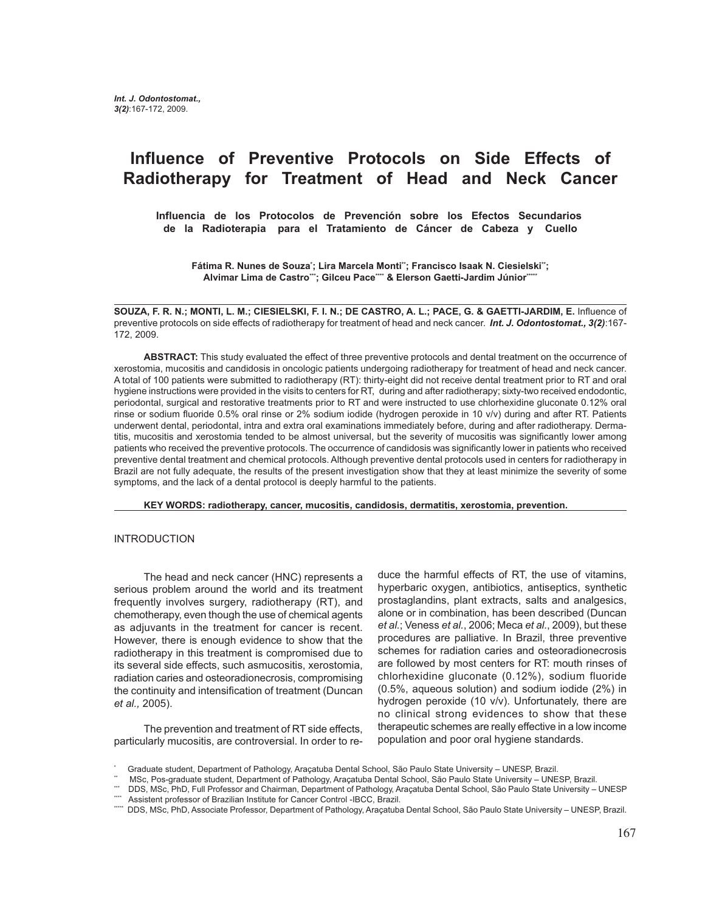# **Influence of Preventive Protocols on Side Effects of Radiotherapy for Treatment of Head and Neck Cancer**

 **Influencia de los Protocolos de Prevención sobre los Efectos Secundarios de la Radioterapia para el Tratamiento de Cáncer de Cabeza y Cuello**

Fátima R. Nunes de Souzaʿ; Lira Marcela Monti"; Francisco Isaak N. Ciesielski"; Alvimar Lima de Castro\*\*; Gilceu Pace\*\*\* & Elerson Gaetti-Jardim Júnior\*\*

**SOUZA, F. R. N.; MONTI, L. M.; CIESIELSKI, F. I. N.; DE CASTRO, A. L.; PACE, G. & GAETTI-JARDIM, E.** Influence of preventive protocols on side effects of radiotherapy for treatment of head and neck cancer. *Int. J. Odontostomat., 3(2)*:167- 172, 2009.

**ABSTRACT:** This study evaluated the effect of three preventive protocols and dental treatment on the occurrence of xerostomia, mucositis and candidosis in oncologic patients undergoing radiotherapy for treatment of head and neck cancer. A total of 100 patients were submitted to radiotherapy (RT): thirty-eight did not receive dental treatment prior to RT and oral hygiene instructions were provided in the visits to centers for RT, during and after radiotherapy; sixty-two received endodontic, periodontal, surgical and restorative treatments prior to RT and were instructed to use chlorhexidine gluconate 0.12% oral rinse or sodium fluoride 0.5% oral rinse or 2% sodium iodide (hydrogen peroxide in 10 v/v) during and after RT. Patients underwent dental, periodontal, intra and extra oral examinations immediately before, during and after radiotherapy. Dermatitis, mucositis and xerostomia tended to be almost universal, but the severity of mucositis was significantly lower among patients who received the preventive protocols. The occurrence of candidosis was significantly lower in patients who received preventive dental treatment and chemical protocols. Although preventive dental protocols used in centers for radiotherapy in Brazil are not fully adequate, the results of the present investigation show that they at least minimize the severity of some symptoms, and the lack of a dental protocol is deeply harmful to the patients.

**KEY WORDS: radiotherapy, cancer, mucositis, candidosis, dermatitis, xerostomia, prevention.**

### INTRODUCTION

The head and neck cancer (HNC) represents a serious problem around the world and its treatment frequently involves surgery, radiotherapy (RT), and chemotherapy, even though the use of chemical agents as adjuvants in the treatment for cancer is recent. However, there is enough evidence to show that the radiotherapy in this treatment is compromised due to its several side effects, such asmucositis, xerostomia, radiation caries and osteoradionecrosis, compromising the continuity and intensification of treatment (Duncan *et al.,* 2005).

The prevention and treatment of RT side effects, particularly mucositis, are controversial. In order to re-

duce the harmful effects of RT, the use of vitamins, hyperbaric oxygen, antibiotics, antiseptics, synthetic prostaglandins, plant extracts, salts and analgesics, alone or in combination, has been described (Duncan *et al.*; Veness *et al.*, 2006; Meca *et al.*, 2009), but these procedures are palliative. In Brazil, three preventive schemes for radiation caries and osteoradionecrosis are followed by most centers for RT: mouth rinses of chlorhexidine gluconate (0.12%), sodium fluoride (0.5%, aqueous solution) and sodium iodide (2%) in hydrogen peroxide (10 v/v). Unfortunately, there are no clinical strong evidences to show that these therapeutic schemes are really effective in a low income population and poor oral hygiene standards.

<sup>\*</sup> Graduate student, Department of Pathology, Araçatuba Dental School, São Paulo State University – UNESP, Brazil.

<sup>\*\*</sup> MSc, Pos-graduate student, Department of Pathology, Araçatuba Dental School, São Paulo State University – UNESP, Brazil.

<sup>\*\*\*</sup> DDS, MSc, PhD, Full Professor and Chairman, Department of Pathology, Araçatuba Dental School, São Paulo State University – UNESP

<sup>\*\*\*</sup> Assistent professor of Brazilian Institute for Cancer Control -IBCC, Brazil.

<sup>\*\*\*\*</sup> DDS, MSc, PhD, Associate Professor, Department of Pathology, Araçatuba Dental School, São Paulo State University – UNESP, Brazil.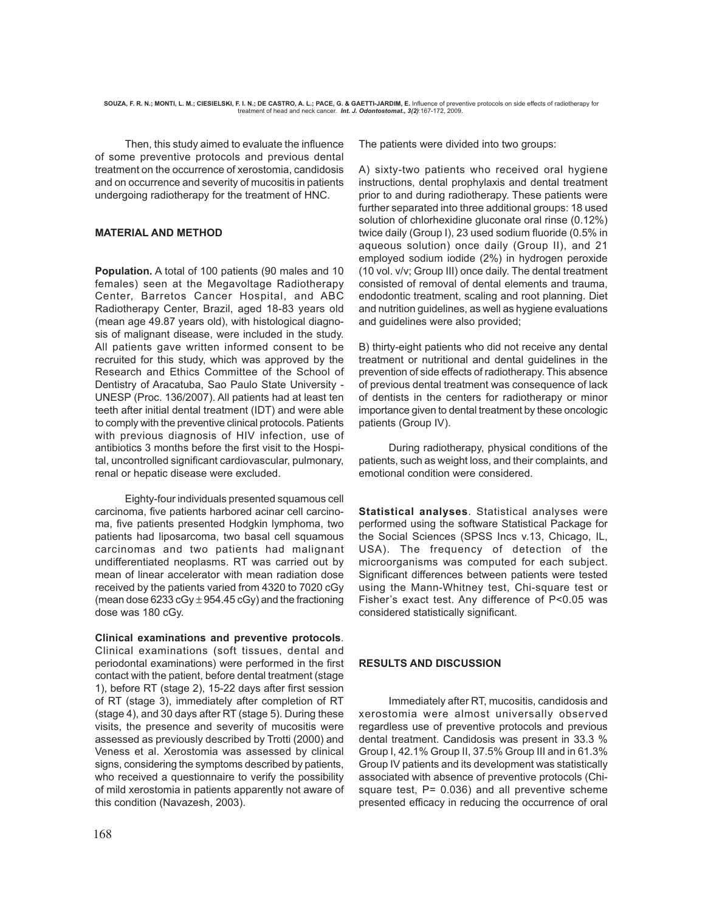Then, this study aimed to evaluate the influence of some preventive protocols and previous dental treatment on the occurrence of xerostomia, candidosis and on occurrence and severity of mucositis in patients undergoing radiotherapy for the treatment of HNC.

## **MATERIAL AND METHOD**

**Population.** A total of 100 patients (90 males and 10 females) seen at the Megavoltage Radiotherapy Center, Barretos Cancer Hospital, and ABC Radiotherapy Center, Brazil, aged 18-83 years old (mean age 49.87 years old), with histological diagnosis of malignant disease, were included in the study. All patients gave written informed consent to be recruited for this study, which was approved by the Research and Ethics Committee of the School of Dentistry of Aracatuba, Sao Paulo State University - UNESP (Proc. 136/2007). All patients had at least ten teeth after initial dental treatment (IDT) and were able to comply with the preventive clinical protocols. Patients with previous diagnosis of HIV infection, use of antibiotics 3 months before the first visit to the Hospital, uncontrolled significant cardiovascular, pulmonary, renal or hepatic disease were excluded.

Eighty-four individuals presented squamous cell carcinoma, five patients harbored acinar cell carcinoma, five patients presented Hodgkin lymphoma, two patients had liposarcoma, two basal cell squamous carcinomas and two patients had malignant undifferentiated neoplasms. RT was carried out by mean of linear accelerator with mean radiation dose received by the patients varied from 4320 to 7020 cGy (mean dose 6233 cGy  $\pm$  954.45 cGy) and the fractioning dose was 180 cGy.

### **Clinical examinations and preventive protocols**.

Clinical examinations (soft tissues, dental and periodontal examinations) were performed in the first contact with the patient, before dental treatment (stage 1), before RT (stage 2), 15-22 days after first session of RT (stage 3), immediately after completion of RT (stage 4), and 30 days after RT (stage 5). During these visits, the presence and severity of mucositis were assessed as previously described by Trotti (2000) and Veness et al. Xerostomia was assessed by clinical signs, considering the symptoms described by patients, who received a questionnaire to verify the possibility of mild xerostomia in patients apparently not aware of this condition (Navazesh, 2003).

The patients were divided into two groups:

A) sixty-two patients who received oral hygiene instructions, dental prophylaxis and dental treatment prior to and during radiotherapy. These patients were further separated into three additional groups: 18 used solution of chlorhexidine gluconate oral rinse (0.12%) twice daily (Group I), 23 used sodium fluoride (0.5% in aqueous solution) once daily (Group II), and 21 employed sodium iodide (2%) in hydrogen peroxide (10 vol. v/v; Group III) once daily. The dental treatment consisted of removal of dental elements and trauma, endodontic treatment, scaling and root planning. Diet and nutrition guidelines, as well as hygiene evaluations and guidelines were also provided;

B) thirty-eight patients who did not receive any dental treatment or nutritional and dental guidelines in the prevention of side effects of radiotherapy. This absence of previous dental treatment was consequence of lack of dentists in the centers for radiotherapy or minor importance given to dental treatment by these oncologic patients (Group IV).

During radiotherapy, physical conditions of the patients, such as weight loss, and their complaints, and emotional condition were considered.

**Statistical analyses**. Statistical analyses were performed using the software Statistical Package for the Social Sciences (SPSS Incs v.13, Chicago, IL, USA). The frequency of detection of the microorganisms was computed for each subject. Significant differences between patients were tested using the Mann-Whitney test, Chi-square test or Fisher's exact test. Any difference of P<0.05 was considered statistically significant.

# **RESULTS AND DISCUSSION**

Immediately after RT, mucositis, candidosis and xerostomia were almost universally observed regardless use of preventive protocols and previous dental treatment. Candidosis was present in 33.3 % Group I, 42.1% Group II, 37.5% Group III and in 61.3% Group IV patients and its development was statistically associated with absence of preventive protocols (Chisquare test,  $P = 0.036$ ) and all preventive scheme presented efficacy in reducing the occurrence of oral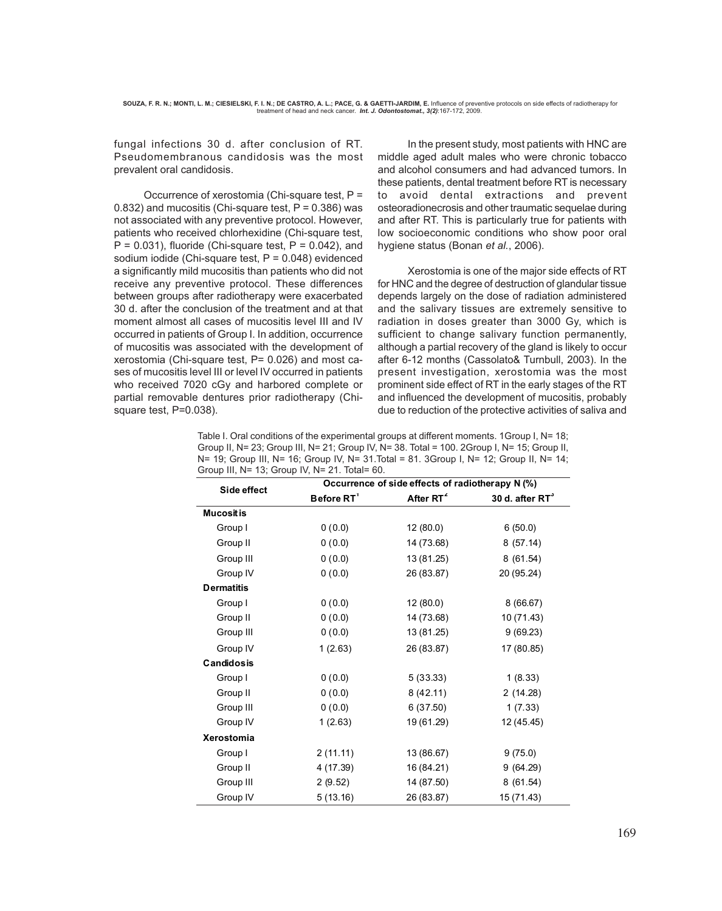fungal infections 30 d. after conclusion of RT. Pseudomembranous candidosis was the most prevalent oral candidosis.

Occurrence of xerostomia (Chi-square test, P = 0.832) and mucositis (Chi-square test,  $P = 0.386$ ) was not associated with any preventive protocol. However, patients who received chlorhexidine (Chi-square test,  $P = 0.031$ ), fluoride (Chi-square test,  $P = 0.042$ ), and sodium iodide (Chi-square test, P = 0.048) evidenced a significantly mild mucositis than patients who did not receive any preventive protocol. These differences between groups after radiotherapy were exacerbated 30 d. after the conclusion of the treatment and at that moment almost all cases of mucositis level III and IV occurred in patients of Group I. In addition, occurrence of mucositis was associated with the development of xerostomia (Chi-square test, P= 0.026) and most cases of mucositis level III or level IV occurred in patients who received 7020 cGy and harbored complete or partial removable dentures prior radiotherapy (Chisquare test, P=0.038).

In the present study, most patients with HNC are middle aged adult males who were chronic tobacco and alcohol consumers and had advanced tumors. In these patients, dental treatment before RT is necessary to avoid dental extractions and prevent osteoradionecrosis and other traumatic sequelae during and after RT. This is particularly true for patients with low socioeconomic conditions who show poor oral hygiene status (Bonan *et al.*, 2006).

Xerostomia is one of the major side effects of RT for HNC and the degree of destruction of glandular tissue depends largely on the dose of radiation administered and the salivary tissues are extremely sensitive to radiation in doses greater than 3000 Gy, which is sufficient to change salivary function permanently, although a partial recovery of the gland is likely to occur after 6-12 months (Cassolato& Turnbull, 2003). In the present investigation, xerostomia was the most prominent side effect of RT in the early stages of the RT and influenced the development of mucositis, probably due to reduction of the protective activities of saliva and

| Table I. Oral conditions of the experimental groups at different moments. 1Group I, N= 18;  |
|---------------------------------------------------------------------------------------------|
| Group II, N= 23; Group III, N= 21; Group IV, N= 38. Total = 100. 2Group I, N= 15; Group II, |
| N= 19; Group III, N= 16; Group IV, N= 31.Total = 81. 3Group I, N= 12; Group II, N= 14;      |
| Group III, N= 13; Group IV, N= 21. Total= 60.                                               |

| Side effect       | Occurrence of side effects of radiotherapy N (%) |                       |                    |  |
|-------------------|--------------------------------------------------|-----------------------|--------------------|--|
|                   | Before RT <sup>1</sup>                           | After RT <sup>2</sup> | 30 d. after $RT^3$ |  |
| <b>Mucosit is</b> |                                                  |                       |                    |  |
| Group I           | 0(0.0)                                           | 12 (80.0)             | 6(50.0)            |  |
| Group II          | 0(0.0)                                           | 14 (73.68)            | 8(57.14)           |  |
| Group III         | 0(0.0)                                           | 13 (81.25)            | 8(61.54)           |  |
| Group IV          | 0(0.0)                                           | 26 (83.87)            | 20 (95.24)         |  |
| <b>Dermatitis</b> |                                                  |                       |                    |  |
| Group I           | 0(0.0)                                           | 12 (80.0)             | 8(66.67)           |  |
| Group II          | 0(0.0)                                           | 14 (73.68)            | 10 (71.43)         |  |
| Group III         | 0(0.0)                                           | 13 (81.25)            | 9(69.23)           |  |
| Group IV          | 1(2.63)                                          | 26 (83.87)            | 17 (80.85)         |  |
| <b>Candidosis</b> |                                                  |                       |                    |  |
| Group I           | 0(0.0)                                           | 5(33.33)              | 1(8.33)            |  |
| Group II          | 0(0.0)                                           | 8(42.11)              | 2(14.28)           |  |
| Group III         | 0(0.0)                                           | 6(37.50)              | 1(7.33)            |  |
| Group IV          | 1(2.63)                                          | 19 (61.29)            | 12 (45.45)         |  |
| <b>Xerostomia</b> |                                                  |                       |                    |  |
| Group I           | 2(11.11)                                         | 13 (86.67)            | 9(75.0)            |  |
| Group II          | 4 (17.39)                                        | 16 (84.21)            | 9(64.29)           |  |
| Group III         | 2(9.52)                                          | 14 (87.50)            | 8(61.54)           |  |
| Group IV          | 5(13.16)                                         | 26 (83.87)            | 15 (71.43)         |  |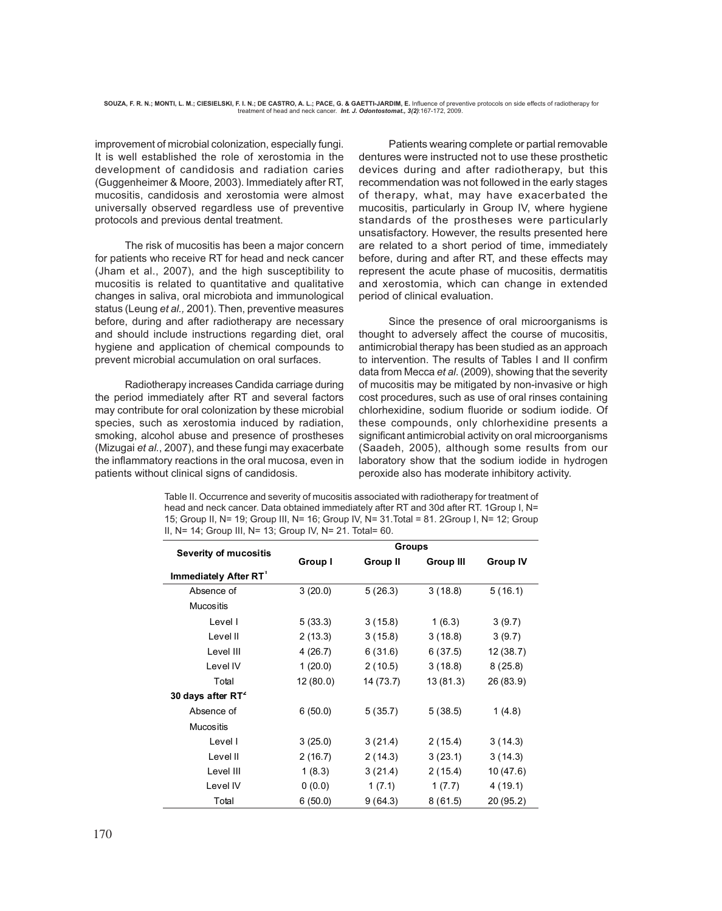improvement of microbial colonization, especially fungi. It is well established the role of xerostomia in the development of candidosis and radiation caries (Guggenheimer & Moore, 2003). Immediately after RT, mucositis, candidosis and xerostomia were almost universally observed regardless use of preventive protocols and previous dental treatment.

 The risk of mucositis has been a major concern for patients who receive RT for head and neck cancer (Jham et al., 2007), and the high susceptibility to mucositis is related to quantitative and qualitative changes in saliva, oral microbiota and immunological status (Leung *et al.,* 2001). Then, preventive measures before, during and after radiotherapy are necessary and should include instructions regarding diet, oral hygiene and application of chemical compounds to prevent microbial accumulation on oral surfaces.

Radiotherapy increases Candida carriage during the period immediately after RT and several factors may contribute for oral colonization by these microbial species, such as xerostomia induced by radiation, smoking, alcohol abuse and presence of prostheses (Mizugai *et al.*, 2007), and these fungi may exacerbate the inflammatory reactions in the oral mucosa, even in patients without clinical signs of candidosis.

Patients wearing complete or partial removable dentures were instructed not to use these prosthetic devices during and after radiotherapy, but this recommendation was not followed in the early stages of therapy, what, may have exacerbated the mucositis, particularly in Group IV, where hygiene standards of the prostheses were particularly unsatisfactory. However, the results presented here are related to a short period of time, immediately before, during and after RT, and these effects may represent the acute phase of mucositis, dermatitis and xerostomia, which can change in extended period of clinical evaluation.

Since the presence of oral microorganisms is thought to adversely affect the course of mucositis, antimicrobial therapy has been studied as an approach to intervention. The results of Tables I and II confirm data from Mecca *et al*. (2009), showing that the severity of mucositis may be mitigated by non-invasive or high cost procedures, such as use of oral rinses containing chlorhexidine, sodium fluoride or sodium iodide. Of these compounds, only chlorhexidine presents a significant antimicrobial activity on oral microorganisms (Saadeh, 2005), although some results from our laboratory show that the sodium iodide in hydrogen peroxide also has moderate inhibitory activity.

Table II. Occurrence and severity of mucositis associated with radiotherapy for treatment of head and neck cancer. Data obtained immediately after RT and 30d after RT. 1Group I, N= 15; Group II, N= 19; Group III, N= 16; Group IV, N= 31.Total = 81. 2Group I, N= 12; Group II, N= 14; Group III, N= 13; Group IV, N= 21. Total= 60.

| <b>Severity of mucositis</b>      | <b>Groups</b> |           |                  |                 |
|-----------------------------------|---------------|-----------|------------------|-----------------|
|                                   | Group I       | Group II  | <b>Group III</b> | <b>Group IV</b> |
| Immediately After RT <sup>1</sup> |               |           |                  |                 |
| Absence of                        | 3(20.0)       | 5(26.3)   | 3(18.8)          | 5(16.1)         |
| <b>Mucositis</b>                  |               |           |                  |                 |
| Level I                           | 5(33.3)       | 3(15.8)   | 1(6.3)           | 3(9.7)          |
| Level II                          | 2(13.3)       | 3(15.8)   | 3(18.8)          | 3(9.7)          |
| Level III                         | 4(26.7)       | 6(31.6)   | 6(37.5)          | 12 (38.7)       |
| Level IV                          | 1(20.0)       | 2(10.5)   | 3(18.8)          | 8(25.8)         |
| Total                             | 12(80.0)      | 14 (73.7) | 13(81.3)         | 26 (83.9)       |
| 30 days after RT <sup>2</sup>     |               |           |                  |                 |
| Absence of                        | 6(50.0)       | 5(35.7)   | 5(38.5)          | 1(4.8)          |
| <b>Mucositis</b>                  |               |           |                  |                 |
| Level I                           | 3(25.0)       | 3(21.4)   | 2(15.4)          | 3(14.3)         |
| Level II                          | 2(16.7)       | 2(14.3)   | 3(23.1)          | 3(14.3)         |
| Level III                         | 1(8.3)        | 3(21.4)   | 2(15.4)          | 10(47.6)        |
| Level IV                          | 0(0.0)        | 1(7.1)    | 1(7.7)           | 4(19.1)         |
| Total                             | 6(50.0)       | 9(64.3)   | 8(61.5)          | 20 (95.2)       |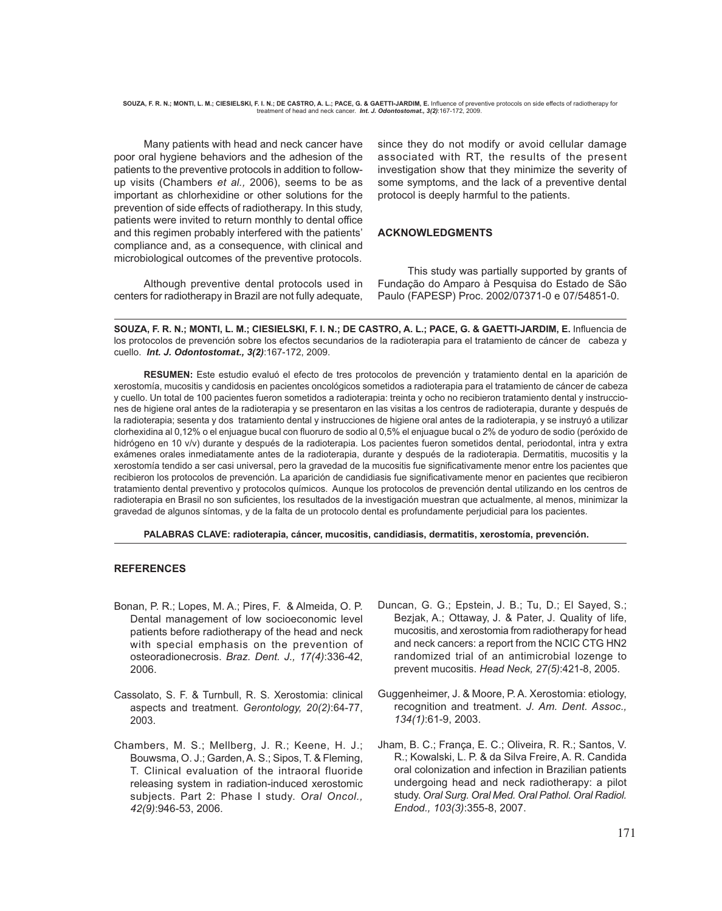**SOUZA, F. R. N.; MONTI, L. M.; CIESIELSKI, F. I. N.; DE CASTRO, A. L.; PACE, G. & GAETTI-JARDIM, E.** Influence of preventive protocols on side effects of radiotherapy for treatment of head and neck cancer. *Int. J. Odontostomat., 3(2)*:167-172, 2009.

Many patients with head and neck cancer have poor oral hygiene behaviors and the adhesion of the patients to the preventive protocols in addition to followup visits (Chambers *et al.,* 2006), seems to be as important as chlorhexidine or other solutions for the prevention of side effects of radiotherapy. In this study, patients were invited to return monthly to dental office and this regimen probably interfered with the patients' compliance and, as a consequence, with clinical and microbiological outcomes of the preventive protocols.

Although preventive dental protocols used in centers for radiotherapy in Brazil are not fully adequate, since they do not modify or avoid cellular damage associated with RT, the results of the present investigation show that they minimize the severity of some symptoms, and the lack of a preventive dental protocol is deeply harmful to the patients.

### **ACKNOWLEDGMENTS**

This study was partially supported by grants of Fundação do Amparo à Pesquisa do Estado de São Paulo (FAPESP) Proc. 2002/07371-0 e 07/54851-0.

**SOUZA, F. R. N.; MONTI, L. M.; CIESIELSKI, F. I. N.; DE CASTRO, A. L.; PACE, G. & GAETTI-JARDIM, E.** Influencia de los protocolos de prevención sobre los efectos secundarios de la radioterapia para el tratamiento de cáncer de cabeza y cuello. *Int. J. Odontostomat., 3(2)*:167-172, 2009.

**RESUMEN:** Este estudio evaluó el efecto de tres protocolos de prevención y tratamiento dental en la aparición de xerostomía, mucositis y candidosis en pacientes oncológicos sometidos a radioterapia para el tratamiento de cáncer de cabeza y cuello. Un total de 100 pacientes fueron sometidos a radioterapia: treinta y ocho no recibieron tratamiento dental y instrucciones de higiene oral antes de la radioterapia y se presentaron en las visitas a los centros de radioterapia, durante y después de la radioterapia; sesenta y dos tratamiento dental y instrucciones de higiene oral antes de la radioterapia, y se instruyó a utilizar clorhexidina al 0,12% o el enjuague bucal con fluoruro de sodio al 0,5% el enjuague bucal o 2% de yoduro de sodio (peróxido de hidrógeno en 10 v/v) durante y después de la radioterapia. Los pacientes fueron sometidos dental, periodontal, intra y extra exámenes orales inmediatamente antes de la radioterapia, durante y después de la radioterapia. Dermatitis, mucositis y la xerostomía tendido a ser casi universal, pero la gravedad de la mucositis fue significativamente menor entre los pacientes que recibieron los protocolos de prevención. La aparición de candidiasis fue significativamente menor en pacientes que recibieron tratamiento dental preventivo y protocolos químicos. Aunque los protocolos de prevención dental utilizando en los centros de radioterapia en Brasil no son suficientes, los resultados de la investigación muestran que actualmente, al menos, minimizar la gravedad de algunos síntomas, y de la falta de un protocolo dental es profundamente perjudicial para los pacientes.

### **PALABRAS CLAVE: radioterapia, cáncer, mucositis, candidiasis, dermatitis, xerostomía, prevención.**

### **REFERENCES**

- Bonan, P. R.; Lopes, M. A.; Pires, F. & Almeida, O. P. Dental management of low socioeconomic level patients before radiotherapy of the head and neck with special emphasis on the prevention of osteoradionecrosis. *Braz. Dent. J., 17(4)*:336-42, 2006.
- Cassolato, S. F. & Turnbull, R. S. Xerostomia: clinical aspects and treatment. *Gerontology, 20(2)*:64-77, 2003.
- Chambers, M. S.; Mellberg, J. R.; Keene, H. J.; Bouwsma, O. J.; Garden, A. S.; Sipos, T. & Fleming, T. Clinical evaluation of the intraoral fluoride releasing system in radiation-induced xerostomic subjects. Part 2: Phase I study. *Oral Oncol., 42(9)*:946-53, 2006.
- Duncan, G. G.; Epstein, J. B.; Tu, D.; El Sayed, S.; Bezjak, A.; Ottaway, J. & Pater, J. Quality of life, mucositis, and xerostomia from radiotherapy for head and neck cancers: a report from the NCIC CTG HN2 randomized trial of an antimicrobial lozenge to prevent mucositis. *Head Neck, 27(5)*:421-8, 2005.
- Guggenheimer, J. & Moore, P. A. Xerostomia: etiology, recognition and treatment. *J. Am. Dent. Assoc., 134(1)*:61-9, 2003.
- Jham, B. C.; França, E. C.; Oliveira, R. R.; Santos, V. R.; Kowalski, L. P. & da Silva Freire, A. R. Candida oral colonization and infection in Brazilian patients undergoing head and neck radiotherapy: a pilot study. *Oral Surg. Oral Med. Oral Pathol. Oral Radiol. Endod., 103(3)*:355-8, 2007.